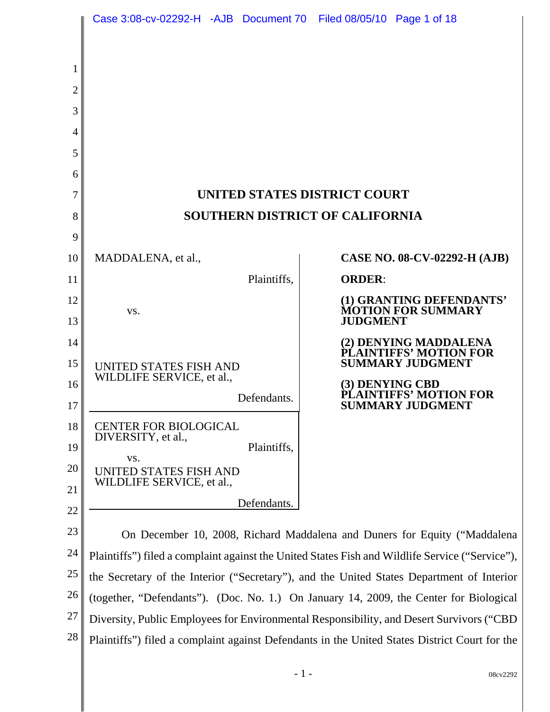|                | Case 3:08-cv-02292-H -AJB Document 70 Filed 08/05/10 Page 1 of 18                               |                                                    |
|----------------|-------------------------------------------------------------------------------------------------|----------------------------------------------------|
| 1              |                                                                                                 |                                                    |
| $\overline{2}$ |                                                                                                 |                                                    |
| 3              |                                                                                                 |                                                    |
| $\overline{4}$ |                                                                                                 |                                                    |
| 5              |                                                                                                 |                                                    |
| 6              |                                                                                                 |                                                    |
| 7<br>8         | UNITED STATES DISTRICT COURT<br><b>SOUTHERN DISTRICT OF CALIFORNIA</b>                          |                                                    |
| 9              |                                                                                                 |                                                    |
| 10             | MADDALENA, et al.,                                                                              | CASE NO. 08-CV-02292-H (AJB)                       |
| 11             | Plaintiffs,                                                                                     | <b>ORDER:</b>                                      |
| 12             |                                                                                                 | (1) GRANTING DEFENDANTS'                           |
| 13             | VS.                                                                                             | <b>MOTION FOR SUMMARY</b><br><b>JUDGMENT</b>       |
| 14             |                                                                                                 | (2) DENYING MADDALENA                              |
| 15             | UNITED STATES FISH AND                                                                          | PLAINTIFFS' MOTION FOR<br><b>SUMMARY JUDGMENT</b>  |
| 16             | WILDLIFE SERVICE, et al.,                                                                       | (3) DENYING CBD                                    |
| 17             | Defendants.                                                                                     | <b>IFFS' MOTION FOR</b><br><b>SUMMARY JUDGMENT</b> |
| 18             | <b>CENTER FOR BIOLOGICAL</b>                                                                    |                                                    |
| 19             | DIVERSITY, et al.,<br>Plaintiffs,                                                               |                                                    |
| 20             | VS.<br>UNITED STATES FISH AND                                                                   |                                                    |
| 21             | WILDLIFE SERVICE, et al.,                                                                       |                                                    |
| 22             | Defendants.                                                                                     |                                                    |
| 23             | On December 10, 2008, Richard Maddalena and Duners for Equity ("Maddalena"                      |                                                    |
| 24             | Plaintiffs") filed a complaint against the United States Fish and Wildlife Service ("Service"), |                                                    |
| 25             | the Secretary of the Interior ("Secretary"), and the United States Department of Interior       |                                                    |
| 26             | (together, "Defendants"). (Doc. No. 1.) On January 14, 2009, the Center for Biological          |                                                    |
| 27             | Diversity, Public Employees for Environmental Responsibility, and Desert Survivors ("CBD        |                                                    |
| 28             | Plaintiffs") filed a complaint against Defendants in the United States District Court for the   |                                                    |
|                | $-1-$                                                                                           | 08cv2292                                           |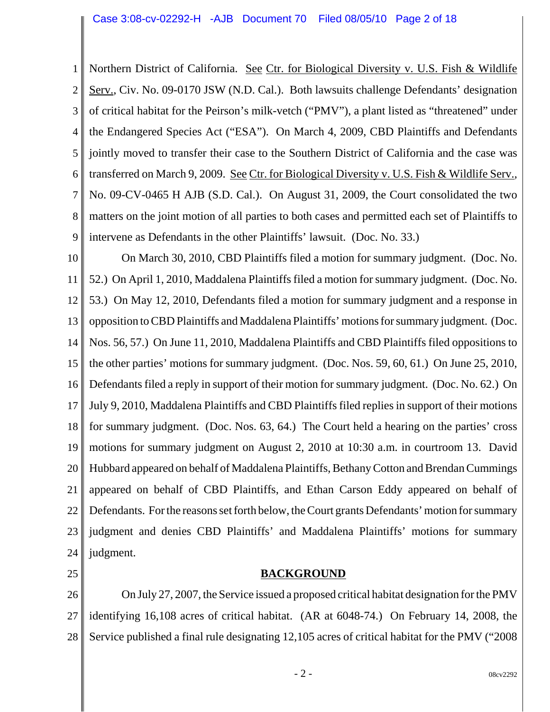1 2 3 4 5 6 7 8 9 Northern District of California. See Ctr. for Biological Diversity v. U.S. Fish & Wildlife Serv., Civ. No. 09-0170 JSW (N.D. Cal.). Both lawsuits challenge Defendants' designation of critical habitat for the Peirson's milk-vetch ("PMV"), a plant listed as "threatened" under the Endangered Species Act ("ESA"). On March 4, 2009, CBD Plaintiffs and Defendants jointly moved to transfer their case to the Southern District of California and the case was transferred on March 9, 2009. See Ctr. for Biological Diversity v. U.S. Fish & Wildlife Serv., No. 09-CV-0465 H AJB (S.D. Cal.). On August 31, 2009, the Court consolidated the two matters on the joint motion of all parties to both cases and permitted each set of Plaintiffs to intervene as Defendants in the other Plaintiffs' lawsuit. (Doc. No. 33.)

10 11 12 13 14 15 16 17 18 19 20 21 22 23 24 On March 30, 2010, CBD Plaintiffs filed a motion for summary judgment. (Doc. No. 52.) On April 1, 2010, Maddalena Plaintiffs filed a motion for summary judgment. (Doc. No. 53.) On May 12, 2010, Defendants filed a motion for summary judgment and a response in opposition to CBD Plaintiffs and Maddalena Plaintiffs' motions for summary judgment. (Doc. Nos. 56, 57.) On June 11, 2010, Maddalena Plaintiffs and CBD Plaintiffs filed oppositions to the other parties' motions for summary judgment. (Doc. Nos. 59, 60, 61.) On June 25, 2010, Defendants filed a reply in support of their motion for summary judgment. (Doc. No. 62.) On July 9, 2010, Maddalena Plaintiffs and CBD Plaintiffs filed replies in support of their motions for summary judgment. (Doc. Nos. 63, 64.) The Court held a hearing on the parties' cross motions for summary judgment on August 2, 2010 at 10:30 a.m. in courtroom 13. David Hubbard appeared on behalf of Maddalena Plaintiffs, Bethany Cotton and Brendan Cummings appeared on behalf of CBD Plaintiffs, and Ethan Carson Eddy appeared on behalf of Defendants. For the reasons set forth below, the Court grants Defendants' motion for summary judgment and denies CBD Plaintiffs' and Maddalena Plaintiffs' motions for summary judgment.

25

## **BACKGROUND**

26 27 28 On July 27, 2007, the Service issued a proposed critical habitat designation for the PMV identifying 16,108 acres of critical habitat. (AR at 6048-74.) On February 14, 2008, the Service published a final rule designating 12,105 acres of critical habitat for the PMV ("2008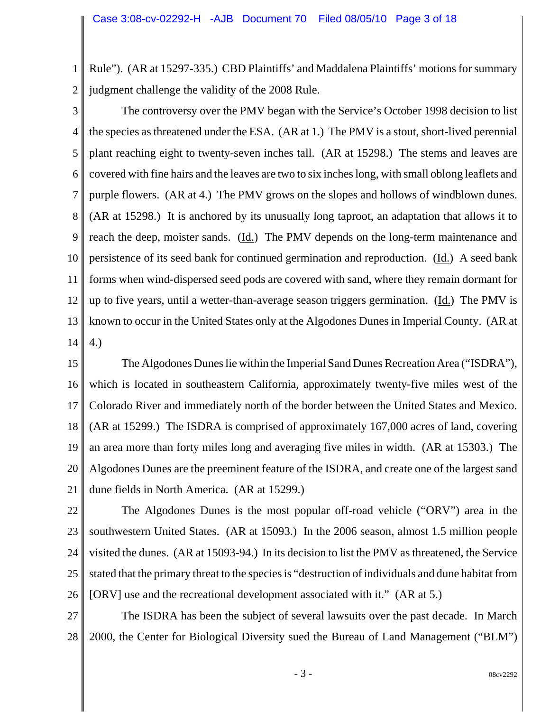1 2 Rule"). (AR at 15297-335.) CBD Plaintiffs' and Maddalena Plaintiffs' motions for summary judgment challenge the validity of the 2008 Rule.

3 4 5 6 7 8 9 10 11 12 13 14 The controversy over the PMV began with the Service's October 1998 decision to list the species as threatened under the ESA. (AR at 1.) The PMV is a stout, short-lived perennial plant reaching eight to twenty-seven inches tall. (AR at 15298.) The stems and leaves are covered with fine hairs and the leaves are two to six inches long, with small oblong leaflets and purple flowers. (AR at 4.) The PMV grows on the slopes and hollows of windblown dunes. (AR at 15298.) It is anchored by its unusually long taproot, an adaptation that allows it to reach the deep, moister sands. (Id.) The PMV depends on the long-term maintenance and persistence of its seed bank for continued germination and reproduction. (Id.) A seed bank forms when wind-dispersed seed pods are covered with sand, where they remain dormant for up to five years, until a wetter-than-average season triggers germination. (Id.) The PMV is known to occur in the United States only at the Algodones Dunes in Imperial County. (AR at 4.)

15 16 17 18 19 20 21 The Algodones Dunes lie within the Imperial Sand Dunes Recreation Area ("ISDRA"), which is located in southeastern California, approximately twenty-five miles west of the Colorado River and immediately north of the border between the United States and Mexico. (AR at 15299.) The ISDRA is comprised of approximately 167,000 acres of land, covering an area more than forty miles long and averaging five miles in width. (AR at 15303.) The Algodones Dunes are the preeminent feature of the ISDRA, and create one of the largest sand dune fields in North America. (AR at 15299.)

22 23 24 25 26 The Algodones Dunes is the most popular off-road vehicle ("ORV") area in the southwestern United States. (AR at 15093.) In the 2006 season, almost 1.5 million people visited the dunes. (AR at 15093-94.) In its decision to list the PMV as threatened, the Service stated that the primary threat to the species is "destruction of individuals and dune habitat from [ORV] use and the recreational development associated with it." (AR at 5.)

27 28 The ISDRA has been the subject of several lawsuits over the past decade. In March 2000, the Center for Biological Diversity sued the Bureau of Land Management ("BLM")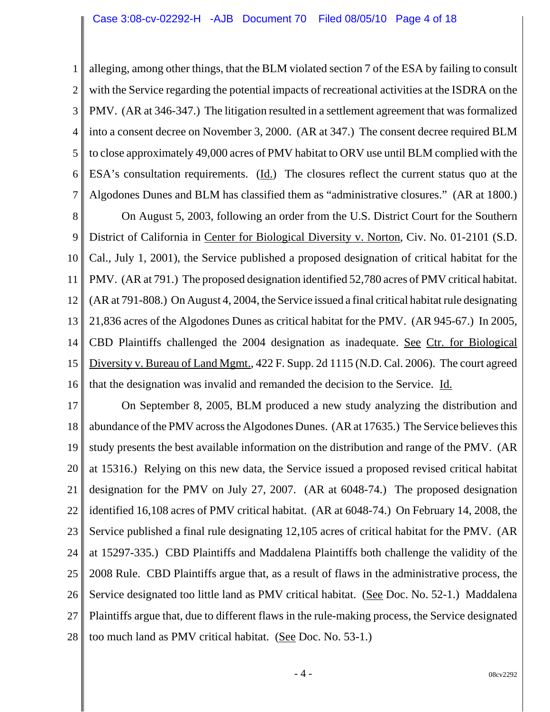1 2 3 4 5 6 7 alleging, among other things, that the BLM violated section 7 of the ESA by failing to consult with the Service regarding the potential impacts of recreational activities at the ISDRA on the PMV. (AR at 346-347.) The litigation resulted in a settlement agreement that was formalized into a consent decree on November 3, 2000. (AR at 347.) The consent decree required BLM to close approximately 49,000 acres of PMV habitat to ORV use until BLM complied with the ESA's consultation requirements. (Id.) The closures reflect the current status quo at the Algodones Dunes and BLM has classified them as "administrative closures." (AR at 1800.)

8 9 10 11 12 13 14 15 16 On August 5, 2003, following an order from the U.S. District Court for the Southern District of California in Center for Biological Diversity v. Norton, Civ. No. 01-2101 (S.D. Cal., July 1, 2001), the Service published a proposed designation of critical habitat for the PMV. (AR at 791.) The proposed designation identified 52,780 acres of PMV critical habitat. (AR at 791-808.) On August 4, 2004, the Service issued a final critical habitat rule designating 21,836 acres of the Algodones Dunes as critical habitat for the PMV. (AR 945-67.) In 2005, CBD Plaintiffs challenged the 2004 designation as inadequate. See Ctr. for Biological Diversity v. Bureau of Land Mgmt., 422 F. Supp. 2d 1115 (N.D. Cal. 2006). The court agreed that the designation was invalid and remanded the decision to the Service. Id.

17 18 19 20 21 22 23 24 25 26 27 28 On September 8, 2005, BLM produced a new study analyzing the distribution and abundance of the PMV across the Algodones Dunes. (AR at 17635.) The Service believes this study presents the best available information on the distribution and range of the PMV. (AR at 15316.) Relying on this new data, the Service issued a proposed revised critical habitat designation for the PMV on July 27, 2007. (AR at 6048-74.) The proposed designation identified 16,108 acres of PMV critical habitat. (AR at 6048-74.) On February 14, 2008, the Service published a final rule designating 12,105 acres of critical habitat for the PMV. (AR at 15297-335.) CBD Plaintiffs and Maddalena Plaintiffs both challenge the validity of the 2008 Rule. CBD Plaintiffs argue that, as a result of flaws in the administrative process, the Service designated too little land as PMV critical habitat. (See Doc. No. 52-1.) Maddalena Plaintiffs argue that, due to different flaws in the rule-making process, the Service designated too much land as PMV critical habitat. (See Doc. No. 53-1.)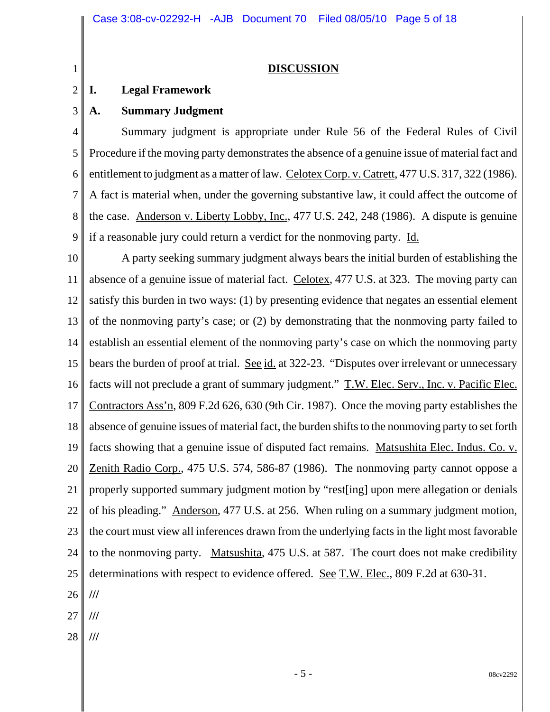**DISCUSSION**

#### **I. Legal Framework**

1

2

3

# **A. Summary Judgment**

4 5 6 7 8 9 Summary judgment is appropriate under Rule 56 of the Federal Rules of Civil Procedure if the moving party demonstrates the absence of a genuine issue of material fact and entitlement to judgment as a matter of law. Celotex Corp. v. Catrett, 477 U.S. 317, 322 (1986). A fact is material when, under the governing substantive law, it could affect the outcome of the case. Anderson v. Liberty Lobby, Inc., 477 U.S. 242, 248 (1986). A dispute is genuine if a reasonable jury could return a verdict for the nonmoving party. Id.

10 11 12 13 14 15 16 17 18 19 20 21 22 23 24 25 26 27 A party seeking summary judgment always bears the initial burden of establishing the absence of a genuine issue of material fact. Celotex, 477 U.S. at 323. The moving party can satisfy this burden in two ways: (1) by presenting evidence that negates an essential element of the nonmoving party's case; or (2) by demonstrating that the nonmoving party failed to establish an essential element of the nonmoving party's case on which the nonmoving party bears the burden of proof at trial. See id. at 322-23. "Disputes over irrelevant or unnecessary facts will not preclude a grant of summary judgment." T.W. Elec. Serv., Inc. v. Pacific Elec. Contractors Ass'n, 809 F.2d 626, 630 (9th Cir. 1987). Once the moving party establishes the absence of genuine issues of material fact, the burden shifts to the nonmoving party to set forth facts showing that a genuine issue of disputed fact remains. Matsushita Elec. Indus. Co. v. Zenith Radio Corp., 475 U.S. 574, 586-87 (1986). The nonmoving party cannot oppose a properly supported summary judgment motion by "rest[ing] upon mere allegation or denials of his pleading." Anderson, 477 U.S. at 256. When ruling on a summary judgment motion, the court must view all inferences drawn from the underlying facts in the light most favorable to the nonmoving party. Matsushita, 475 U.S. at 587. The court does not make credibility determinations with respect to evidence offered. See T.W. Elec., 809 F.2d at 630-31. **/// ///**

28 **///**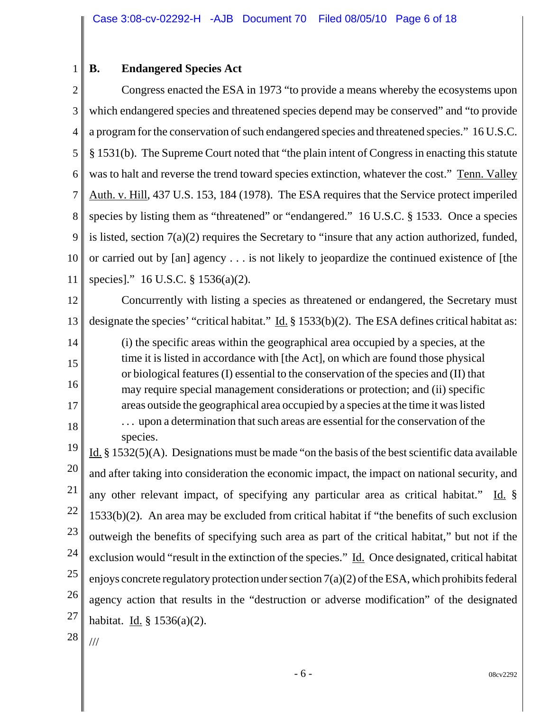#### 1 **B. Endangered Species Act**

2 3 4 5 6 7 8 9 10 11 Congress enacted the ESA in 1973 "to provide a means whereby the ecosystems upon which endangered species and threatened species depend may be conserved" and "to provide" a program for the conservation of such endangered species and threatened species." 16 U.S.C. § 1531(b). The Supreme Court noted that "the plain intent of Congress in enacting this statute was to halt and reverse the trend toward species extinction, whatever the cost." Tenn. Valley Auth. v. Hill, 437 U.S. 153, 184 (1978). The ESA requires that the Service protect imperiled species by listing them as "threatened" or "endangered." 16 U.S.C. § 1533. Once a species is listed, section 7(a)(2) requires the Secretary to "insure that any action authorized, funded, or carried out by [an] agency . . . is not likely to jeopardize the continued existence of [the species]." 16 U.S.C. § 1536(a)(2).

12 13 Concurrently with listing a species as threatened or endangered, the Secretary must designate the species' "critical habitat." Id.  $\S 1533(b)(2)$ . The ESA defines critical habitat as:

(i) the specific areas within the geographical area occupied by a species, at the time it is listed in accordance with [the Act], on which are found those physical or biological features (I) essential to the conservation of the species and (II) that may require special management considerations or protection; and (ii) specific areas outside the geographical area occupied by a species at the time it was listed . . . upon a determination that such areas are essential for the conservation of the species.

19 20 21 22 23 24 25 26 27 Id.  $\S$  1532(5)(A). Designations must be made "on the basis of the best scientific data available and after taking into consideration the economic impact, the impact on national security, and any other relevant impact, of specifying any particular area as critical habitat." Id. § 1533(b)(2). An area may be excluded from critical habitat if "the benefits of such exclusion outweigh the benefits of specifying such area as part of the critical habitat," but not if the exclusion would "result in the extinction of the species." Id. Once designated, critical habitat enjoys concrete regulatory protection under section  $7(a)(2)$  of the ESA, which prohibits federal agency action that results in the "destruction or adverse modification" of the designated habitat. Id. § 1536(a)(2).

28

///

14

15

16

17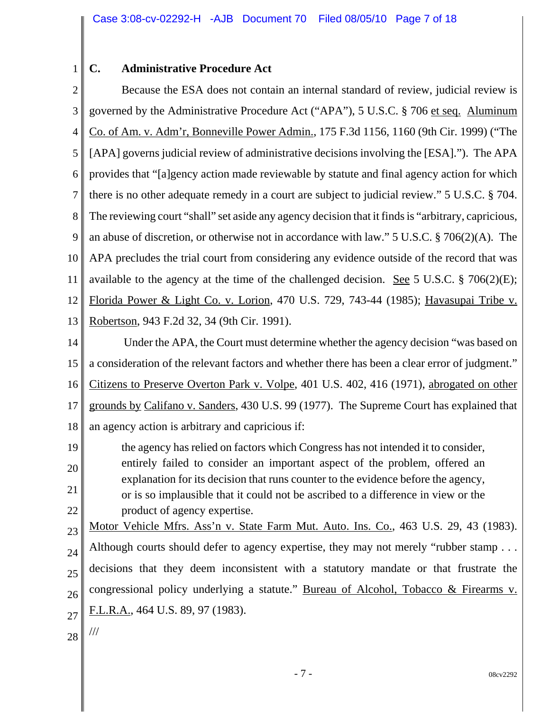#### 1 **C. Administrative Procedure Act**

2 3 4 5 6 7 8 9 10 11 12 13 Because the ESA does not contain an internal standard of review, judicial review is governed by the Administrative Procedure Act ("APA"), 5 U.S.C. § 706 et seq. Aluminum Co. of Am. v. Adm'r, Bonneville Power Admin., 175 F.3d 1156, 1160 (9th Cir. 1999) ("The [APA] governs judicial review of administrative decisions involving the [ESA]."). The APA provides that "[a]gency action made reviewable by statute and final agency action for which there is no other adequate remedy in a court are subject to judicial review." 5 U.S.C. § 704. The reviewing court "shall" set aside any agency decision that it finds is "arbitrary, capricious, an abuse of discretion, or otherwise not in accordance with law." 5 U.S.C. § 706(2)(A). The APA precludes the trial court from considering any evidence outside of the record that was available to the agency at the time of the challenged decision. See 5 U.S.C.  $\S$  706(2)(E); Florida Power & Light Co. v. Lorion, 470 U.S. 729, 743-44 (1985); Havasupai Tribe v. Robertson, 943 F.2d 32, 34 (9th Cir. 1991).

- 14 15 16 17 18 Under the APA, the Court must determine whether the agency decision "was based on a consideration of the relevant factors and whether there has been a clear error of judgment." Citizens to Preserve Overton Park v. Volpe, 401 U.S. 402, 416 (1971), abrogated on other grounds by Califano v. Sanders, 430 U.S. 99 (1977). The Supreme Court has explained that an agency action is arbitrary and capricious if:
- 19 20 21 22 the agency has relied on factors which Congress has not intended it to consider, entirely failed to consider an important aspect of the problem, offered an explanation for its decision that runs counter to the evidence before the agency, or is so implausible that it could not be ascribed to a difference in view or the product of agency expertise.

23 24 25 26 27 Motor Vehicle Mfrs. Ass'n v. State Farm Mut. Auto. Ins. Co., 463 U.S. 29, 43 (1983). Although courts should defer to agency expertise, they may not merely "rubber stamp . . . decisions that they deem inconsistent with a statutory mandate or that frustrate the congressional policy underlying a statute." Bureau of Alcohol, Tobacco & Firearms v. F.L.R.A., 464 U.S. 89, 97 (1983).

28

///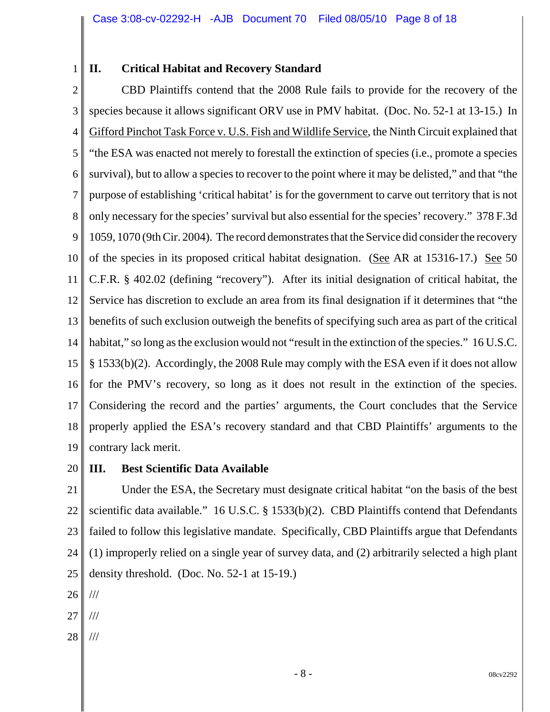1

# **II. Critical Habitat and Recovery Standard**

2 3 4 5 6 7 8 9 10 11 12 13 14 15 16 17 18 19 CBD Plaintiffs contend that the 2008 Rule fails to provide for the recovery of the species because it allows significant ORV use in PMV habitat. (Doc. No. 52-1 at 13-15.) In Gifford Pinchot Task Force v. U.S. Fish and Wildlife Service, the Ninth Circuit explained that "the ESA was enacted not merely to forestall the extinction of species (i.e., promote a species survival), but to allow a species to recover to the point where it may be delisted," and that "the purpose of establishing 'critical habitat' is for the government to carve out territory that is not only necessary for the species' survival but also essential for the species' recovery." 378 F.3d 1059, 1070 (9th Cir. 2004). The record demonstrates that the Service did consider the recovery of the species in its proposed critical habitat designation. (See AR at 15316-17.) See 50 C.F.R. § 402.02 (defining "recovery"). After its initial designation of critical habitat, the Service has discretion to exclude an area from its final designation if it determines that "the benefits of such exclusion outweigh the benefits of specifying such area as part of the critical habitat," so long as the exclusion would not "result in the extinction of the species." 16 U.S.C. § 1533(b)(2). Accordingly, the 2008 Rule may comply with the ESA even if it does not allow for the PMV's recovery, so long as it does not result in the extinction of the species. Considering the record and the parties' arguments, the Court concludes that the Service properly applied the ESA's recovery standard and that CBD Plaintiffs' arguments to the contrary lack merit.

20

**III. Best Scientific Data Available**

21 22 23 24 25 Under the ESA, the Secretary must designate critical habitat "on the basis of the best scientific data available." 16 U.S.C. § 1533(b)(2). CBD Plaintiffs contend that Defendants failed to follow this legislative mandate. Specifically, CBD Plaintiffs argue that Defendants (1) improperly relied on a single year of survey data, and (2) arbitrarily selected a high plant density threshold. (Doc. No. 52-1 at 15-19.)

26 ///

27 ///

28 ///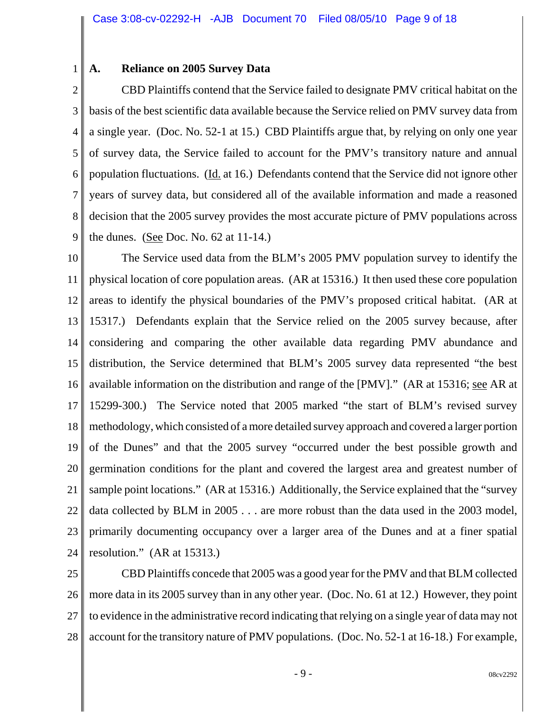1

#### **A. Reliance on 2005 Survey Data**

2 3 4 5 6 7 8 9 CBD Plaintiffs contend that the Service failed to designate PMV critical habitat on the basis of the best scientific data available because the Service relied on PMV survey data from a single year. (Doc. No. 52-1 at 15.) CBD Plaintiffs argue that, by relying on only one year of survey data, the Service failed to account for the PMV's transitory nature and annual population fluctuations. (Id. at 16.) Defendants contend that the Service did not ignore other years of survey data, but considered all of the available information and made a reasoned decision that the 2005 survey provides the most accurate picture of PMV populations across the dunes. (See Doc. No. 62 at 11-14.)

10 11 12 13 14 15 16 17 18 19 20 21 22 23 24 The Service used data from the BLM's 2005 PMV population survey to identify the physical location of core population areas. (AR at 15316.) It then used these core population areas to identify the physical boundaries of the PMV's proposed critical habitat. (AR at 15317.) Defendants explain that the Service relied on the 2005 survey because, after considering and comparing the other available data regarding PMV abundance and distribution, the Service determined that BLM's 2005 survey data represented "the best available information on the distribution and range of the [PMV]." (AR at 15316; <u>see</u> AR at 15299-300.) The Service noted that 2005 marked "the start of BLM's revised survey methodology, which consisted of a more detailed survey approach and covered a larger portion of the Dunes" and that the 2005 survey "occurred under the best possible growth and germination conditions for the plant and covered the largest area and greatest number of sample point locations." (AR at 15316.) Additionally, the Service explained that the "survey data collected by BLM in 2005 . . . are more robust than the data used in the 2003 model, primarily documenting occupancy over a larger area of the Dunes and at a finer spatial resolution." (AR at 15313.)

25 26 27 28 CBD Plaintiffs concede that 2005 was a good year for the PMV and that BLM collected more data in its 2005 survey than in any other year. (Doc. No. 61 at 12.) However, they point to evidence in the administrative record indicating that relying on a single year of data may not account for the transitory nature of PMV populations. (Doc. No. 52-1 at 16-18.) For example,

 $-9 -$  08cv2292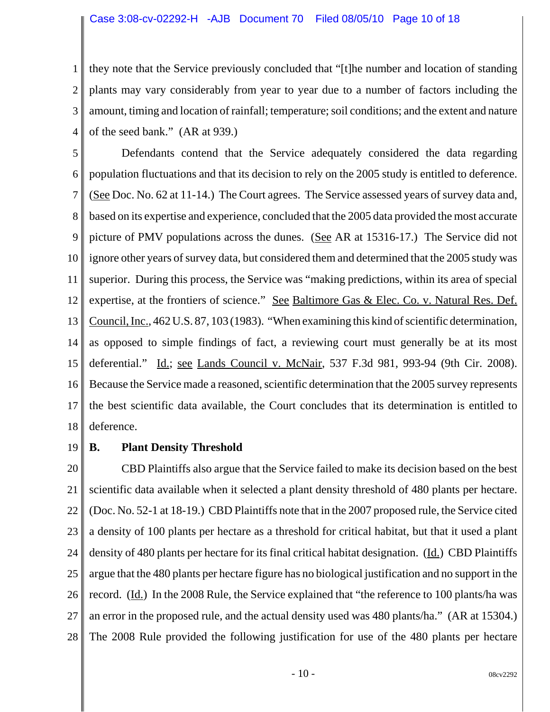#### Case 3:08-cv-02292-H -AJB Document 70 Filed 08/05/10 Page 10 of 18

1 2 3 4 they note that the Service previously concluded that "[t]he number and location of standing plants may vary considerably from year to year due to a number of factors including the amount, timing and location of rainfall; temperature; soil conditions; and the extent and nature of the seed bank." (AR at 939.)

5 6 7 8 9 10 11 12 13 14 15 16 17 18 Defendants contend that the Service adequately considered the data regarding population fluctuations and that its decision to rely on the 2005 study is entitled to deference. (See Doc. No. 62 at 11-14.) The Court agrees. The Service assessed years of survey data and, based on its expertise and experience, concluded that the 2005 data provided the most accurate picture of PMV populations across the dunes. (See AR at 15316-17.) The Service did not ignore other years of survey data, but considered them and determined that the 2005 study was superior. During this process, the Service was "making predictions, within its area of special expertise, at the frontiers of science." See Baltimore Gas & Elec. Co. v. Natural Res. Def. Council, Inc., 462 U.S. 87, 103 (1983). "When examining this kind of scientific determination, as opposed to simple findings of fact, a reviewing court must generally be at its most deferential." Id.; see Lands Council v. McNair, 537 F.3d 981, 993-94 (9th Cir. 2008). Because the Service made a reasoned, scientific determination that the 2005 survey represents the best scientific data available, the Court concludes that its determination is entitled to deference.

19

# **B. Plant Density Threshold**

20 21 22 23 24 25 26 27 28 CBD Plaintiffs also argue that the Service failed to make its decision based on the best scientific data available when it selected a plant density threshold of 480 plants per hectare. (Doc. No. 52-1 at 18-19.) CBD Plaintiffs note that in the 2007 proposed rule, the Service cited a density of 100 plants per hectare as a threshold for critical habitat, but that it used a plant density of 480 plants per hectare for its final critical habitat designation. (Id.) CBD Plaintiffs argue that the 480 plants per hectare figure has no biological justification and no support in the record. (Id.) In the 2008 Rule, the Service explained that "the reference to 100 plants/ha was an error in the proposed rule, and the actual density used was 480 plants/ha." (AR at 15304.) The 2008 Rule provided the following justification for use of the 480 plants per hectare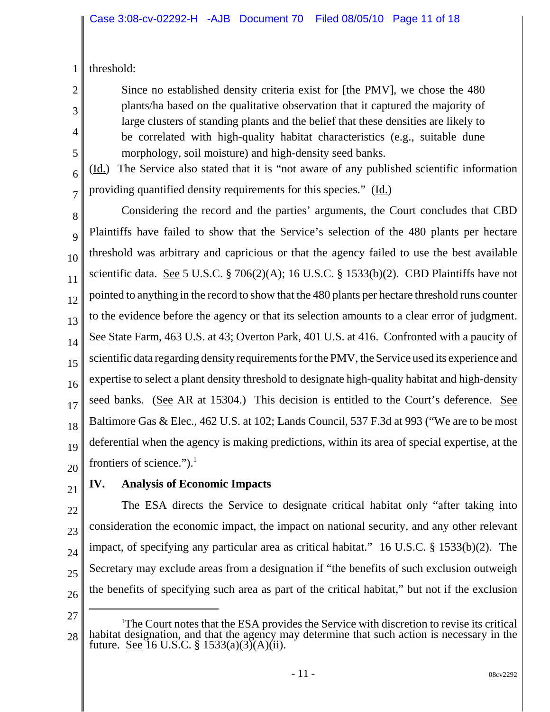1 threshold:

> Since no established density criteria exist for [the PMV], we chose the 480 plants/ha based on the qualitative observation that it captured the majority of large clusters of standing plants and the belief that these densities are likely to be correlated with high-quality habitat characteristics (e.g., suitable dune morphology, soil moisture) and high-density seed banks.

(Id.) The Service also stated that it is "not aware of any published scientific information providing quantified density requirements for this species." (Id.)

7 8

2

3

4

5

6

9 10 11 12 13 14 15 16 17 18 19 20 Considering the record and the parties' arguments, the Court concludes that CBD Plaintiffs have failed to show that the Service's selection of the 480 plants per hectare threshold was arbitrary and capricious or that the agency failed to use the best available scientific data. See 5 U.S.C. § 706(2)(A); 16 U.S.C. § 1533(b)(2). CBD Plaintiffs have not pointed to anything in the record to show that the 480 plants per hectare threshold runs counter to the evidence before the agency or that its selection amounts to a clear error of judgment. See State Farm, 463 U.S. at 43; Overton Park, 401 U.S. at 416. Confronted with a paucity of scientific data regarding density requirements for the PMV, the Service used its experience and expertise to select a plant density threshold to designate high-quality habitat and high-density seed banks. (See AR at 15304.) This decision is entitled to the Court's deference. See Baltimore Gas & Elec., 462 U.S. at 102; Lands Council, 537 F.3d at 993 ("We are to be most deferential when the agency is making predictions, within its area of special expertise, at the frontiers of science."). $<sup>1</sup>$ </sup>

21

# **IV. Analysis of Economic Impacts**

22 23 24 25 26 The ESA directs the Service to designate critical habitat only "after taking into consideration the economic impact, the impact on national security, and any other relevant impact, of specifying any particular area as critical habitat." 16 U.S.C. § 1533(b)(2). The Secretary may exclude areas from a designation if "the benefits of such exclusion outweigh the benefits of specifying such area as part of the critical habitat," but not if the exclusion

<sup>28</sup> <sup>1</sup>The Court notes that the ESA provides the Service with discretion to revise its critical habitat designation, and that the agency may determine that such action is necessary in the future. See 16 U.S.C. § 1533(a)(3)(A)(ii).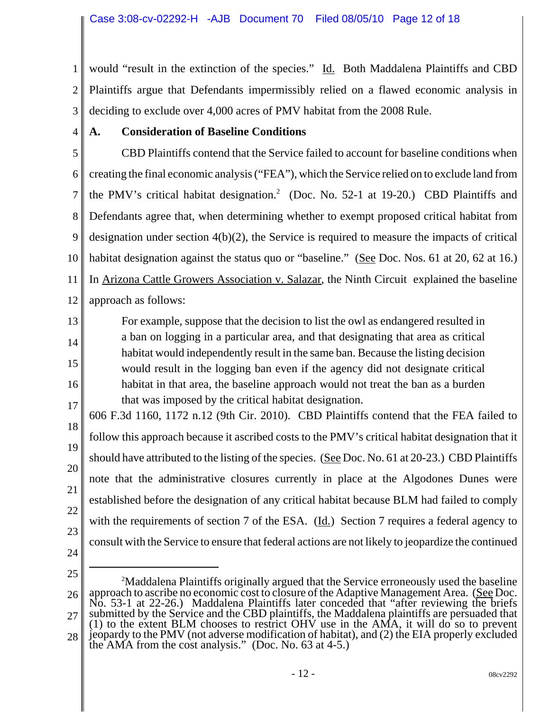1 2 3 would "result in the extinction of the species." Id. Both Maddalena Plaintiffs and CBD Plaintiffs argue that Defendants impermissibly relied on a flawed economic analysis in deciding to exclude over 4,000 acres of PMV habitat from the 2008 Rule.

4

13

14

15

16

# **A. Consideration of Baseline Conditions**

5 6 7 8 9 10 11 12 CBD Plaintiffs contend that the Service failed to account for baseline conditions when creating the final economic analysis ("FEA"), which the Service relied on to exclude land from the PMV's critical habitat designation.<sup>2</sup> (Doc. No. 52-1 at 19-20.) CBD Plaintiffs and Defendants agree that, when determining whether to exempt proposed critical habitat from designation under section 4(b)(2), the Service is required to measure the impacts of critical habitat designation against the status quo or "baseline." (See Doc. Nos. 61 at 20, 62 at 16.) In Arizona Cattle Growers Association v. Salazar, the Ninth Circuit explained the baseline approach as follows:

For example, suppose that the decision to list the owl as endangered resulted in a ban on logging in a particular area, and that designating that area as critical habitat would independently result in the same ban. Because the listing decision would result in the logging ban even if the agency did not designate critical habitat in that area, the baseline approach would not treat the ban as a burden that was imposed by the critical habitat designation.

17 18 19 20 21 22 23 606 F.3d 1160, 1172 n.12 (9th Cir. 2010). CBD Plaintiffs contend that the FEA failed to follow this approach because it ascribed costs to the PMV's critical habitat designation that it should have attributed to the listing of the species. (See Doc. No. 61 at 20-23.) CBD Plaintiffs note that the administrative closures currently in place at the Algodones Dunes were established before the designation of any critical habitat because BLM had failed to comply with the requirements of section 7 of the ESA. (Id.) Section 7 requires a federal agency to consult with the Service to ensure that federal actions are not likely to jeopardize the continued

- 24
- 25

<sup>26</sup> 27 28 <sup>2</sup>Maddalena Plaintiffs originally argued that the Service erroneously used the baseline approach to ascribe no economic cost to closure of the Adaptive Management Area. (See Doc. No. 53-1 at 22-26.) Maddalena Plaintiffs later conceded that "after reviewing the briefs submitted by the Service and the CBD plaintiffs, the Maddalena plaintiffs are persuaded that (1) to the extent BLM chooses to restrict OHV use in the AMA, it will do so to prevent jeopardy to the PMV (not adverse modification of habitat), and (2) the EIA properly excluded the AMA from the cost analysis." (Doc. No. 63 at 4-5.)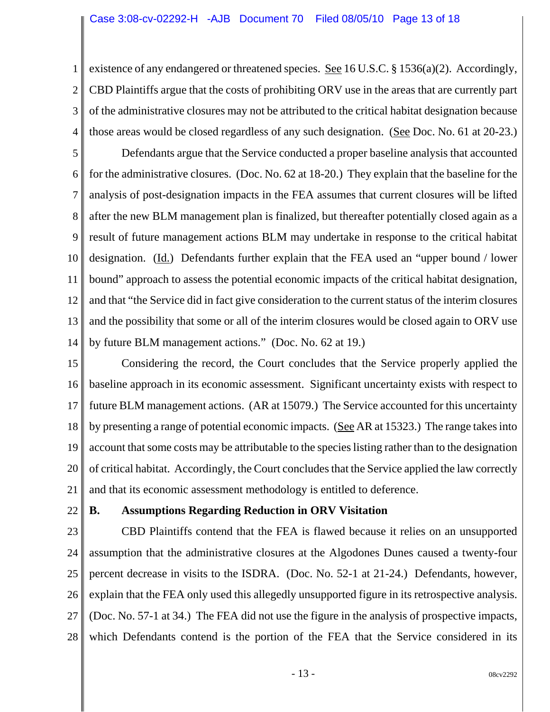1 2 3 4 existence of any endangered or threatened species. See 16 U.S.C.  $\S 1536(a)(2)$ . Accordingly, CBD Plaintiffs argue that the costs of prohibiting ORV use in the areas that are currently part of the administrative closures may not be attributed to the critical habitat designation because those areas would be closed regardless of any such designation. (See Doc. No. 61 at 20-23.)

5 6 7 8 9 10 11 12 13 14 Defendants argue that the Service conducted a proper baseline analysis that accounted for the administrative closures. (Doc. No. 62 at 18-20.) They explain that the baseline for the analysis of post-designation impacts in the FEA assumes that current closures will be lifted after the new BLM management plan is finalized, but thereafter potentially closed again as a result of future management actions BLM may undertake in response to the critical habitat designation. (Id.) Defendants further explain that the FEA used an "upper bound / lower bound" approach to assess the potential economic impacts of the critical habitat designation, and that "the Service did in fact give consideration to the current status of the interim closures and the possibility that some or all of the interim closures would be closed again to ORV use by future BLM management actions." (Doc. No. 62 at 19.)

15 16 17 18 19 20 21 Considering the record, the Court concludes that the Service properly applied the baseline approach in its economic assessment. Significant uncertainty exists with respect to future BLM management actions. (AR at 15079.) The Service accounted for this uncertainty by presenting a range of potential economic impacts. (See AR at 15323.) The range takes into account that some costs may be attributable to the species listing rather than to the designation of critical habitat. Accordingly, the Court concludes that the Service applied the law correctly and that its economic assessment methodology is entitled to deference.

22

## **B. Assumptions Regarding Reduction in ORV Visitation**

23 24 25 26 27 28 CBD Plaintiffs contend that the FEA is flawed because it relies on an unsupported assumption that the administrative closures at the Algodones Dunes caused a twenty-four percent decrease in visits to the ISDRA. (Doc. No. 52-1 at 21-24.) Defendants, however, explain that the FEA only used this allegedly unsupported figure in its retrospective analysis. (Doc. No. 57-1 at 34.) The FEA did not use the figure in the analysis of prospective impacts, which Defendants contend is the portion of the FEA that the Service considered in its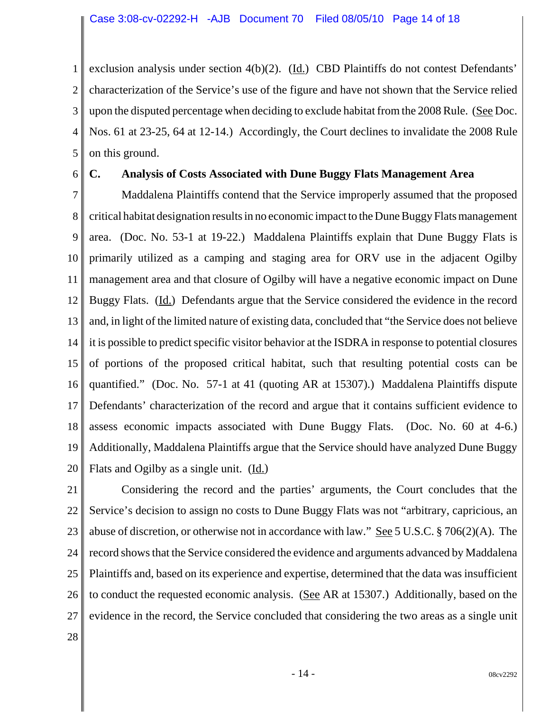1 2 3 4 5 exclusion analysis under section  $4(b)(2)$ . (Id.) CBD Plaintiffs do not contest Defendants' characterization of the Service's use of the figure and have not shown that the Service relied upon the disputed percentage when deciding to exclude habitat from the 2008 Rule. (See Doc. Nos. 61 at 23-25, 64 at 12-14.) Accordingly, the Court declines to invalidate the 2008 Rule on this ground.

6

## **C. Analysis of Costs Associated with Dune Buggy Flats Management Area**

7 8 9 10 11 12 13 14 15 16 17 18 19 20 Maddalena Plaintiffs contend that the Service improperly assumed that the proposed critical habitat designation results in no economic impact to the Dune Buggy Flats management area. (Doc. No. 53-1 at 19-22.) Maddalena Plaintiffs explain that Dune Buggy Flats is primarily utilized as a camping and staging area for ORV use in the adjacent Ogilby management area and that closure of Ogilby will have a negative economic impact on Dune Buggy Flats. (Id.) Defendants argue that the Service considered the evidence in the record and, in light of the limited nature of existing data, concluded that "the Service does not believe it is possible to predict specific visitor behavior at the ISDRA in response to potential closures of portions of the proposed critical habitat, such that resulting potential costs can be quantified." (Doc. No. 57-1 at 41 (quoting AR at 15307).) Maddalena Plaintiffs dispute Defendants' characterization of the record and argue that it contains sufficient evidence to assess economic impacts associated with Dune Buggy Flats. (Doc. No. 60 at 4-6.) Additionally, Maddalena Plaintiffs argue that the Service should have analyzed Dune Buggy Flats and Ogilby as a single unit. (Id.)

21 22 23 24 25 26 27 Considering the record and the parties' arguments, the Court concludes that the Service's decision to assign no costs to Dune Buggy Flats was not "arbitrary, capricious, an abuse of discretion, or otherwise not in accordance with law." See 5 U.S.C. § 706(2)(A). The record shows that the Service considered the evidence and arguments advanced by Maddalena Plaintiffs and, based on its experience and expertise, determined that the data was insufficient to conduct the requested economic analysis. (See AR at 15307.) Additionally, based on the evidence in the record, the Service concluded that considering the two areas as a single unit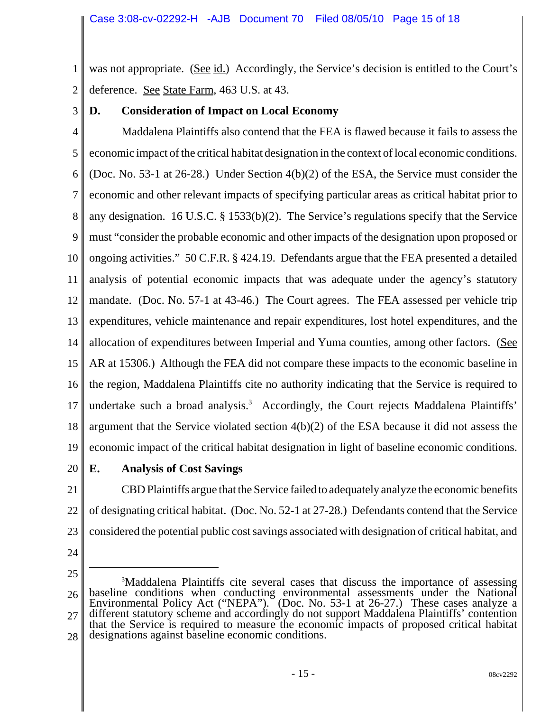1 2 was not appropriate. (See id.) Accordingly, the Service's decision is entitled to the Court's deference. See State Farm, 463 U.S. at 43.

3

# **D. Consideration of Impact on Local Economy**

4 5 6 7 8 9 10 11 12 13 14 15 16 17 18 19 Maddalena Plaintiffs also contend that the FEA is flawed because it fails to assess the economic impact of the critical habitat designation in the context of local economic conditions. (Doc. No. 53-1 at 26-28.) Under Section 4(b)(2) of the ESA, the Service must consider the economic and other relevant impacts of specifying particular areas as critical habitat prior to any designation. 16 U.S.C. § 1533(b)(2). The Service's regulations specify that the Service must "consider the probable economic and other impacts of the designation upon proposed or ongoing activities." 50 C.F.R. § 424.19. Defendants argue that the FEA presented a detailed analysis of potential economic impacts that was adequate under the agency's statutory mandate. (Doc. No. 57-1 at 43-46.) The Court agrees. The FEA assessed per vehicle trip expenditures, vehicle maintenance and repair expenditures, lost hotel expenditures, and the allocation of expenditures between Imperial and Yuma counties, among other factors. (See AR at 15306.) Although the FEA did not compare these impacts to the economic baseline in the region, Maddalena Plaintiffs cite no authority indicating that the Service is required to undertake such a broad analysis. $3$  Accordingly, the Court rejects Maddalena Plaintiffs' argument that the Service violated section 4(b)(2) of the ESA because it did not assess the economic impact of the critical habitat designation in light of baseline economic conditions.

20

# **E. Analysis of Cost Savings**

21 22 23 CBD Plaintiffs argue that the Service failed to adequately analyze the economic benefits of designating critical habitat. (Doc. No. 52-1 at 27-28.) Defendants contend that the Service considered the potential public cost savings associated with designation of critical habitat, and

24

<sup>26</sup> 27 28 3 Maddalena Plaintiffs cite several cases that discuss the importance of assessing baseline conditions when conducting environmental assessments under the National Environmental Policy Act ("NEPA"). (Doc. No. 53-1 at 26-27.) These cases analyze a different statutory scheme and accordingly do not support Maddalena Plaintiffs' contention that the Service is required to measure the economic impacts of proposed critical habitat designations against baseline economic conditions.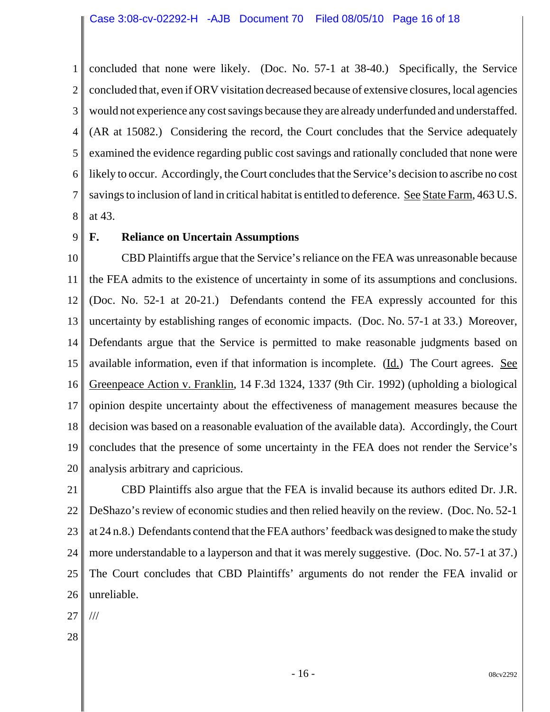1 2 3 4 5 6 7 8 concluded that none were likely. (Doc. No. 57-1 at 38-40.) Specifically, the Service concluded that, even if ORV visitation decreased because of extensive closures, local agencies would not experience any cost savings because they are already underfunded and understaffed. (AR at 15082.) Considering the record, the Court concludes that the Service adequately examined the evidence regarding public cost savings and rationally concluded that none were likely to occur. Accordingly, the Court concludes that the Service's decision to ascribe no cost savings to inclusion of land in critical habitat is entitled to deference. See State Farm, 463 U.S. at 43.

9

## **F. Reliance on Uncertain Assumptions**

10 11 12 13 14 15 16 17 18 19 20 CBD Plaintiffs argue that the Service's reliance on the FEA was unreasonable because the FEA admits to the existence of uncertainty in some of its assumptions and conclusions. (Doc. No. 52-1 at 20-21.) Defendants contend the FEA expressly accounted for this uncertainty by establishing ranges of economic impacts. (Doc. No. 57-1 at 33.) Moreover, Defendants argue that the Service is permitted to make reasonable judgments based on available information, even if that information is incomplete. (Id.) The Court agrees. See Greenpeace Action v. Franklin, 14 F.3d 1324, 1337 (9th Cir. 1992) (upholding a biological opinion despite uncertainty about the effectiveness of management measures because the decision was based on a reasonable evaluation of the available data). Accordingly, the Court concludes that the presence of some uncertainty in the FEA does not render the Service's analysis arbitrary and capricious.

21 22 23 24 25 26 CBD Plaintiffs also argue that the FEA is invalid because its authors edited Dr. J.R. DeShazo's review of economic studies and then relied heavily on the review. (Doc. No. 52-1 at 24 n.8.) Defendants contend that the FEA authors' feedback was designed to make the study more understandable to a layperson and that it was merely suggestive. (Doc. No. 57-1 at 37.) The Court concludes that CBD Plaintiffs' arguments do not render the FEA invalid or unreliable.

27 ///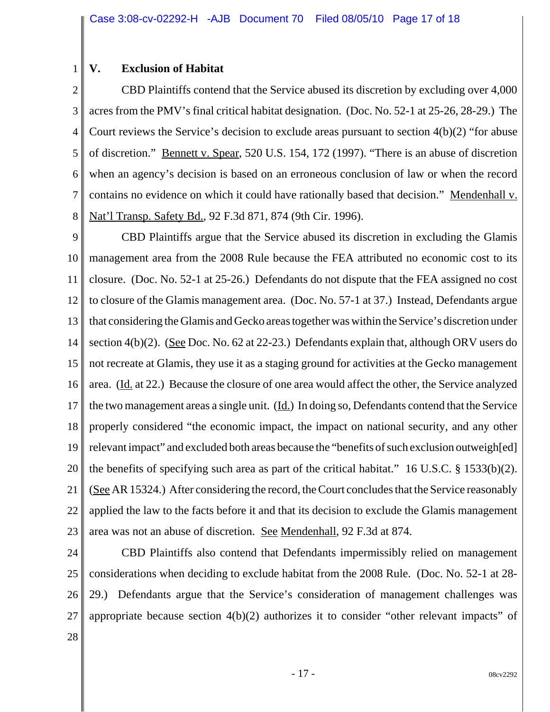## **V. Exclusion of Habitat**

1

2 3 4 5 6 7 8 CBD Plaintiffs contend that the Service abused its discretion by excluding over 4,000 acres from the PMV's final critical habitat designation. (Doc. No. 52-1 at 25-26, 28-29.) The Court reviews the Service's decision to exclude areas pursuant to section 4(b)(2) "for abuse of discretion." Bennett v. Spear, 520 U.S. 154, 172 (1997). "There is an abuse of discretion when an agency's decision is based on an erroneous conclusion of law or when the record contains no evidence on which it could have rationally based that decision." Mendenhall v. Nat'l Transp. Safety Bd., 92 F.3d 871, 874 (9th Cir. 1996).

9 10 11 12 13 14 15 16 17 18 19 20 21 22 23 CBD Plaintiffs argue that the Service abused its discretion in excluding the Glamis management area from the 2008 Rule because the FEA attributed no economic cost to its closure. (Doc. No. 52-1 at 25-26.) Defendants do not dispute that the FEA assigned no cost to closure of the Glamis management area. (Doc. No. 57-1 at 37.) Instead, Defendants argue that considering the Glamis and Gecko areas together was within the Service's discretion under section 4(b)(2). (See Doc. No. 62 at 22-23.) Defendants explain that, although ORV users do not recreate at Glamis, they use it as a staging ground for activities at the Gecko management area. (Id. at 22.) Because the closure of one area would affect the other, the Service analyzed the two management areas a single unit. (Id.) In doing so, Defendants contend that the Service properly considered "the economic impact, the impact on national security, and any other relevant impact" and excluded both areas because the "benefits of such exclusion outweigh[ed] the benefits of specifying such area as part of the critical habitat." 16 U.S.C. § 1533(b)(2). (See AR 15324.) After considering the record, the Court concludes that the Service reasonably applied the law to the facts before it and that its decision to exclude the Glamis management area was not an abuse of discretion. See Mendenhall, 92 F.3d at 874.

24 25 26 27 CBD Plaintiffs also contend that Defendants impermissibly relied on management considerations when deciding to exclude habitat from the 2008 Rule. (Doc. No. 52-1 at 28- 29.) Defendants argue that the Service's consideration of management challenges was appropriate because section  $4(b)(2)$  authorizes it to consider "other relevant impacts" of